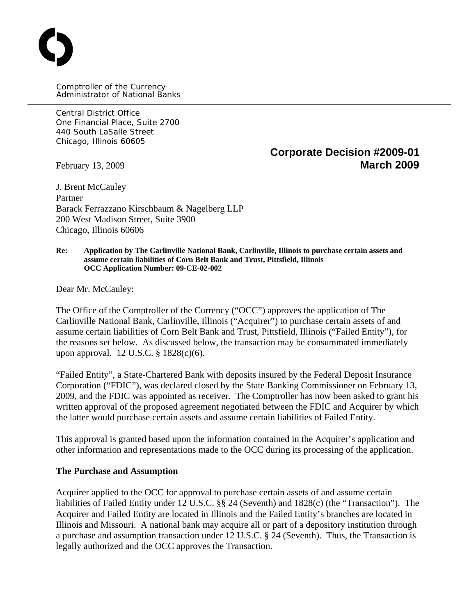Comptroller of the Currency Administrator of National Banks

Central District Office One Financial Place, Suite 2700 440 South LaSalle Street Chicago, Illinois 60605

O

# **Corporate Decision #2009-01**  February 13, 2009 **March 2009**

J. Brent McCauley Partner Barack Ferrazzano Kirschbaum & Nagelberg LLP 200 West Madison Street, Suite 3900 Chicago, Illinois 60606

#### **Re: Application by The Carlinville National Bank, Carlinville, Illinois to purchase certain assets and assume certain liabilities of Corn Belt Bank and Trust, Pittsfield, Illinois OCC Application Number: 09-CE-02-002**

Dear Mr. McCauley:

The Office of the Comptroller of the Currency ("OCC") approves the application of The Carlinville National Bank, Carlinville, Illinois ("Acquirer") to purchase certain assets of and assume certain liabilities of Corn Belt Bank and Trust, Pittsfield, Illinois ("Failed Entity"), for the reasons set below. As discussed below, the transaction may be consummated immediately upon approval. 12 U.S.C. § 1828(c)(6).

"Failed Entity", a State-Chartered Bank with deposits insured by the Federal Deposit Insurance Corporation ("FDIC"), was declared closed by the State Banking Commissioner on February 13, 2009, and the FDIC was appointed as receiver. The Comptroller has now been asked to grant his written approval of the proposed agreement negotiated between the FDIC and Acquirer by which the latter would purchase certain assets and assume certain liabilities of Failed Entity.

This approval is granted based upon the information contained in the Acquirer's application and other information and representations made to the OCC during its processing of the application.

### **The Purchase and Assumption**

Acquirer applied to the OCC for approval to purchase certain assets of and assume certain liabilities of Failed Entity under 12 U.S.C. §§ 24 (Seventh) and 1828(c) (the "Transaction"). The Acquirer and Failed Entity are located in Illinois and the Failed Entity's branches are located in Illinois and Missouri. A national bank may acquire all or part of a depository institution through a purchase and assumption transaction under 12 U.S.C. § 24 (Seventh). Thus, the Transaction is legally authorized and the OCC approves the Transaction.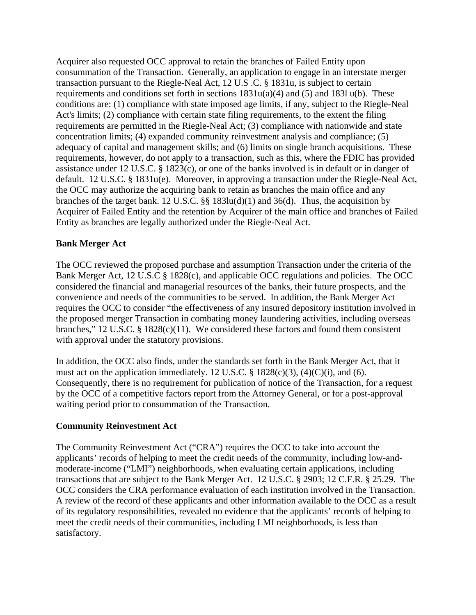Acquirer also requested OCC approval to retain the branches of Failed Entity upon consummation of the Transaction. Generally, an application to engage in an interstate merger transaction pursuant to the Riegle-Neal Act, 12 U.S .C. § 1831u, is subject to certain requirements and conditions set forth in sections  $1831u(a)(4)$  and  $(5)$  and  $183l u(b)$ . These conditions are: (1) compliance with state imposed age limits, if any, subject to the Riegle-Neal Act's limits; (2) compliance with certain state filing requirements, to the extent the filing requirements are permitted in the Riegle-Neal Act; (3) compliance with nationwide and state concentration limits; (4) expanded community reinvestment analysis and compliance; (5) adequacy of capital and management skills; and (6) limits on single branch acquisitions. These requirements, however, do not apply to a transaction, such as this, where the FDIC has provided assistance under 12 U.S.C. § 1823(c), or one of the banks involved is in default or in danger of default. 12 U.S.C. § 1831u(e). Moreover, in approving a transaction under the Riegle-Neal Act, the OCC may authorize the acquiring bank to retain as branches the main office and any branches of the target bank. 12 U.S.C. §§ 183lu(d)(1) and 36(d). Thus, the acquisition by Acquirer of Failed Entity and the retention by Acquirer of the main office and branches of Failed Entity as branches are legally authorized under the Riegle-Neal Act.

## **Bank Merger Act**

The OCC reviewed the proposed purchase and assumption Transaction under the criteria of the Bank Merger Act, 12 U.S.C § 1828(c), and applicable OCC regulations and policies. The OCC considered the financial and managerial resources of the banks, their future prospects, and the convenience and needs of the communities to be served. In addition, the Bank Merger Act requires the OCC to consider "the effectiveness of any insured depository institution involved in the proposed merger Transaction in combating money laundering activities, including overseas branches," 12 U.S.C. § 1828(c)(11). We considered these factors and found them consistent with approval under the statutory provisions.

In addition, the OCC also finds, under the standards set forth in the Bank Merger Act, that it must act on the application immediately. 12 U.S.C.  $\S$  1828(c)(3), (4)(C)(i), and (6). Consequently, there is no requirement for publication of notice of the Transaction, for a request by the OCC of a competitive factors report from the Attorney General, or for a post-approval waiting period prior to consummation of the Transaction.

### **Community Reinvestment Act**

The Community Reinvestment Act ("CRA") requires the OCC to take into account the applicants' records of helping to meet the credit needs of the community, including low-andmoderate-income ("LMI") neighborhoods, when evaluating certain applications, including transactions that are subject to the Bank Merger Act. 12 U.S.C. § 2903; 12 C.F.R. § 25.29. The OCC considers the CRA performance evaluation of each institution involved in the Transaction. A review of the record of these applicants and other information available to the OCC as a result of its regulatory responsibilities, revealed no evidence that the applicants' records of helping to meet the credit needs of their communities, including LMI neighborhoods, is less than satisfactory.